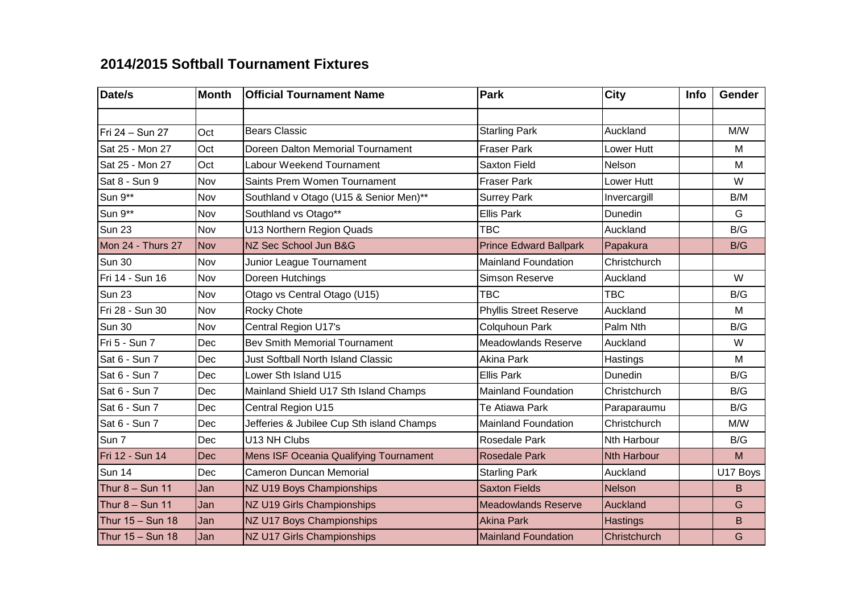## **2014/2015 Softball Tournament Fixtures**

| Date/s            | <b>Month</b> | <b>Official Tournament Name</b>               | Park                          | <b>City</b>        | Info | <b>Gender</b> |
|-------------------|--------------|-----------------------------------------------|-------------------------------|--------------------|------|---------------|
|                   |              |                                               |                               |                    |      |               |
| Fri 24 - Sun 27   | Oct          | <b>Bears Classic</b>                          | <b>Starling Park</b>          | Auckland           |      | M/W           |
| Sat 25 - Mon 27   | Oct          | Doreen Dalton Memorial Tournament             | <b>Fraser Park</b>            | Lower Hutt         |      | M             |
| Sat 25 - Mon 27   | Oct          | Labour Weekend Tournament                     | <b>Saxton Field</b>           | Nelson             |      | M             |
| Sat 8 - Sun 9     | Nov          | Saints Prem Women Tournament                  | <b>Fraser Park</b>            | Lower Hutt         |      | W             |
| Sun 9**           | Nov          | Southland v Otago (U15 & Senior Men)**        | <b>Surrey Park</b>            | Invercargill       |      | B/M           |
| Sun 9**           | Nov          | Southland vs Otago**                          | <b>Ellis Park</b>             | Dunedin            |      | G             |
| <b>Sun 23</b>     | Nov          | U13 Northern Region Quads                     | TBC                           | Auckland           |      | B/G           |
| Mon 24 - Thurs 27 | <b>Nov</b>   | NZ Sec School Jun B&G                         | <b>Prince Edward Ballpark</b> | Papakura           |      | B/G           |
| Sun 30            | Nov          | Junior League Tournament                      | <b>Mainland Foundation</b>    | Christchurch       |      |               |
| Fri 14 - Sun 16   | Nov          | Doreen Hutchings                              | <b>Simson Reserve</b>         | Auckland           |      | W             |
| Sun 23            | Nov          | Otago vs Central Otago (U15)                  | <b>TBC</b>                    | <b>TBC</b>         |      | B/G           |
| Fri 28 - Sun 30   | Nov          | <b>Rocky Chote</b>                            | <b>Phyllis Street Reserve</b> | Auckland           |      | M             |
| <b>Sun 30</b>     | Nov          | Central Region U17's                          | Colquhoun Park                | Palm Nth           |      | B/G           |
| Fri 5 - Sun 7     | Dec          | <b>Bev Smith Memorial Tournament</b>          | <b>Meadowlands Reserve</b>    | Auckland           |      | W             |
| Sat 6 - Sun 7     | Dec          | <b>Just Softball North Island Classic</b>     | <b>Akina Park</b>             | Hastings           |      | M             |
| Sat 6 - Sun 7     | Dec          | Lower Sth Island U15                          | <b>Ellis Park</b>             | Dunedin            |      | B/G           |
| Sat 6 - Sun 7     | Dec          | Mainland Shield U17 Sth Island Champs         | <b>Mainland Foundation</b>    | Christchurch       |      | B/G           |
| Sat 6 - Sun 7     | Dec          | Central Region U15                            | Te Atiawa Park                | Paraparaumu        |      | B/G           |
| Sat 6 - Sun 7     | Dec          | Jefferies & Jubilee Cup Sth island Champs     | <b>Mainland Foundation</b>    | Christchurch       |      | M/W           |
| Sun 7             | Dec          | U13 NH Clubs                                  | <b>Rosedale Park</b>          | <b>Nth Harbour</b> |      | B/G           |
| Fri 12 - Sun 14   | Dec          | <b>Mens ISF Oceania Qualifying Tournament</b> | <b>Rosedale Park</b>          | <b>Nth Harbour</b> |      | M             |
| <b>Sun 14</b>     | Dec          | <b>Cameron Duncan Memorial</b>                | <b>Starling Park</b>          | Auckland           |      | U17 Boys      |
| Thur $8 -$ Sun 11 | Jan          | NZ U19 Boys Championships                     | <b>Saxton Fields</b>          | <b>Nelson</b>      |      | B             |
| Thur $8 -$ Sun 11 | Jan          | NZ U19 Girls Championships                    | <b>Meadowlands Reserve</b>    | <b>Auckland</b>    |      | G             |
| Thur 15 - Sun 18  | Jan          | NZ U17 Boys Championships                     | <b>Akina Park</b>             | <b>Hastings</b>    |      | B             |
| Thur 15 - Sun 18  | Jan          | NZ U17 Girls Championships                    | <b>Mainland Foundation</b>    | Christchurch       |      | G             |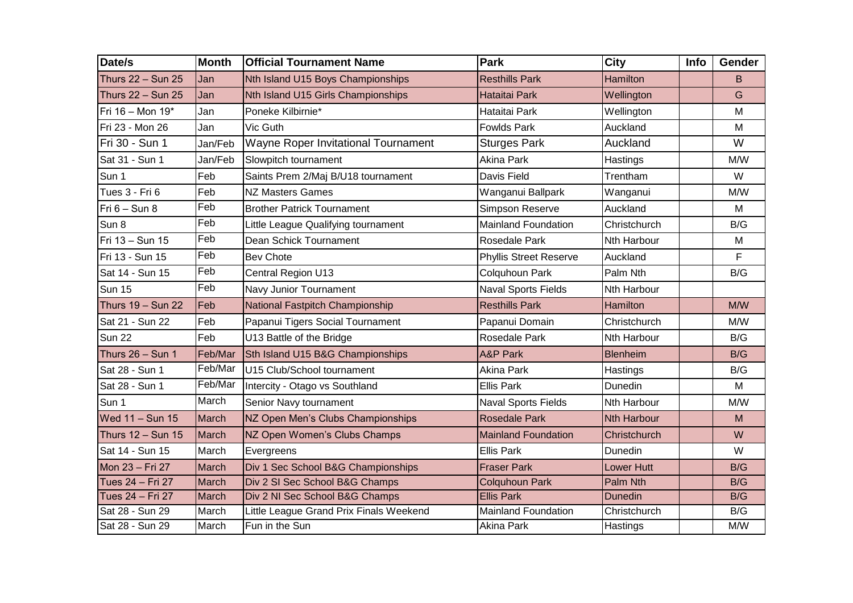| Date/s            | <b>Month</b> | <b>Official Tournament Name</b>         | <b>Park</b>                   | <b>City</b>        | Info | Gender |
|-------------------|--------------|-----------------------------------------|-------------------------------|--------------------|------|--------|
| Thurs 22 - Sun 25 | Jan          | Nth Island U15 Boys Championships       | <b>Resthills Park</b>         | <b>Hamilton</b>    |      | B      |
| Thurs 22 - Sun 25 | Jan          | Nth Island U15 Girls Championships      | <b>Hataitai Park</b>          | Wellington         |      | G      |
| Fri 16 - Mon 19*  | Jan          | Poneke Kilbirnie*                       | Hataitai Park                 | Wellington         |      | M      |
| Fri 23 - Mon 26   | Jan          | Vic Guth                                | <b>Fowlds Park</b>            | Auckland           |      | M      |
| Fri 30 - Sun 1    | Jan/Feb      | Wayne Roper Invitational Tournament     | <b>Sturges Park</b>           | Auckland           |      | W      |
| Sat 31 - Sun 1    | Jan/Feb      | Slowpitch tournament                    | <b>Akina Park</b>             | Hastings           |      | M/W    |
| Sun 1             | Feb          | Saints Prem 2/Maj B/U18 tournament      | Davis Field                   | Trentham           |      | W      |
| Tues 3 - Fri 6    | Feb          | <b>NZ Masters Games</b>                 | Wanganui Ballpark             | Wanganui           |      | M/W    |
| $Fri 6 - Sun 8$   | Feb          | <b>Brother Patrick Tournament</b>       | Simpson Reserve               | Auckland           |      | M      |
| Sun 8             | Feb          | Little League Qualifying tournament     | <b>Mainland Foundation</b>    | Christchurch       |      | B/G    |
| Fri 13 - Sun 15   | Feb          | Dean Schick Tournament                  | <b>Rosedale Park</b>          | Nth Harbour        |      | M      |
| Fri 13 - Sun 15   | Feb          | <b>Bev Chote</b>                        | <b>Phyllis Street Reserve</b> | Auckland           |      | F      |
| Sat 14 - Sun 15   | Feb          | Central Region U13                      | Colquhoun Park                | Palm Nth           |      | B/G    |
| <b>Sun 15</b>     | Feb          | Navy Junior Tournament                  | <b>Naval Sports Fields</b>    | Nth Harbour        |      |        |
| Thurs 19 - Sun 22 | Feb          | National Fastpitch Championship         | <b>Resthills Park</b>         | Hamilton           |      | M/W    |
| Sat 21 - Sun 22   | Feb          | Papanui Tigers Social Tournament        | Papanui Domain                | Christchurch       |      | M/W    |
| <b>Sun 22</b>     | Feb          | U13 Battle of the Bridge                | Rosedale Park                 | Nth Harbour        |      | B/G    |
| Thurs 26 - Sun 1  | Feb/Mar      | Sth Island U15 B&G Championships        | <b>A&amp;P Park</b>           | <b>Blenheim</b>    |      | B/G    |
| Sat 28 - Sun 1    | Feb/Mar      | U15 Club/School tournament              | Akina Park                    | Hastings           |      | B/G    |
| Sat 28 - Sun 1    | Feb/Mar      | Intercity - Otago vs Southland          | <b>Ellis Park</b>             | Dunedin            |      | M      |
| Sun 1             | March        | Senior Navy tournament                  | <b>Naval Sports Fields</b>    | Nth Harbour        |      | M/W    |
| Wed 11 - Sun 15   | March        | NZ Open Men's Clubs Championships       | <b>Rosedale Park</b>          | <b>Nth Harbour</b> |      | M      |
| Thurs 12 - Sun 15 | March        | NZ Open Women's Clubs Champs            | <b>Mainland Foundation</b>    | Christchurch       |      | W      |
| Sat 14 - Sun 15   | March        | Evergreens                              | <b>Ellis Park</b>             | Dunedin            |      | W      |
| Mon 23 - Fri 27   | March        | Div 1 Sec School B&G Championships      | <b>Fraser Park</b>            | <b>Lower Hutt</b>  |      | B/G    |
| Tues 24 - Fri 27  | March        | Div 2 SI Sec School B&G Champs          | <b>Colquhoun Park</b>         | Palm Nth           |      | B/G    |
| Tues 24 - Fri 27  | March        | Div 2 NI Sec School B&G Champs          | <b>Ellis Park</b>             | <b>Dunedin</b>     |      | B/G    |
| Sat 28 - Sun 29   | March        | Little League Grand Prix Finals Weekend | <b>Mainland Foundation</b>    | Christchurch       |      | B/G    |
| Sat 28 - Sun 29   | March        | Fun in the Sun                          | Akina Park                    | Hastings           |      | M/W    |